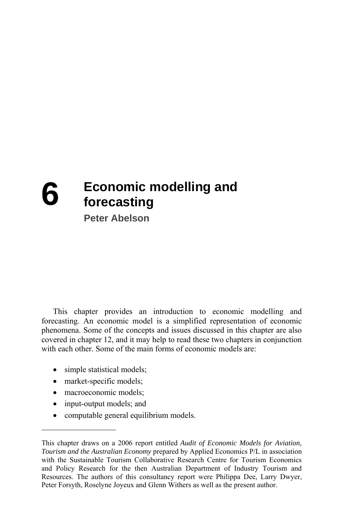# **6** Economic modelling and **forecasting**

**Peter Abelson** 

This chapter provides an introduction to economic modelling and forecasting. An economic model is a simplified representation of economic phenomena. Some of the concepts and issues discussed in this chapter are also covered in chapter 12, and it may help to read these two chapters in conjunction with each other. Some of the main forms of economic models are:

- simple statistical models;
- market-specific models;
- macroeconomic models:
- input-output models; and
- computable general equilibrium models.

This chapter draws on a 2006 report entitled *Audit of Economic Models for Aviation, Tourism and the Australian Economy* prepared by Applied Economics P/L in association with the Sustainable Tourism Collaborative Research Centre for Tourism Economics and Policy Research for the then Australian Department of Industry Tourism and Resources. The authors of this consultancy report were Philippa Dee, Larry Dwyer, Peter Forsyth, Roselyne Joyeux and Glenn Withers as well as the present author.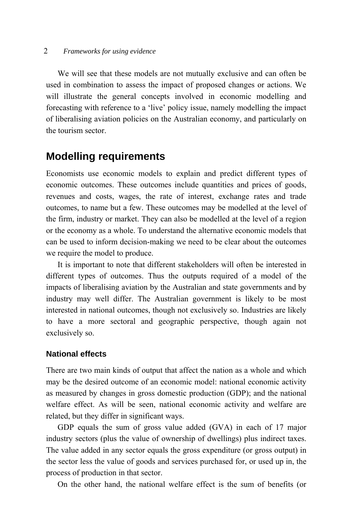#### 2 *Frameworks for using evidence*

We will see that these models are not mutually exclusive and can often be used in combination to assess the impact of proposed changes or actions. We will illustrate the general concepts involved in economic modelling and forecasting with reference to a 'live' policy issue, namely modelling the impact of liberalising aviation policies on the Australian economy, and particularly on the tourism sector.

# **Modelling requirements**

Economists use economic models to explain and predict different types of economic outcomes. These outcomes include quantities and prices of goods, revenues and costs, wages, the rate of interest, exchange rates and trade outcomes, to name but a few. These outcomes may be modelled at the level of the firm, industry or market. They can also be modelled at the level of a region or the economy as a whole. To understand the alternative economic models that can be used to inform decision-making we need to be clear about the outcomes we require the model to produce.

It is important to note that different stakeholders will often be interested in different types of outcomes. Thus the outputs required of a model of the impacts of liberalising aviation by the Australian and state governments and by industry may well differ. The Australian government is likely to be most interested in national outcomes, though not exclusively so. Industries are likely to have a more sectoral and geographic perspective, though again not exclusively so.

### **National effects**

There are two main kinds of output that affect the nation as a whole and which may be the desired outcome of an economic model: national economic activity as measured by changes in gross domestic production (GDP); and the national welfare effect. As will be seen, national economic activity and welfare are related, but they differ in significant ways.

GDP equals the sum of gross value added (GVA) in each of 17 major industry sectors (plus the value of ownership of dwellings) plus indirect taxes. The value added in any sector equals the gross expenditure (or gross output) in the sector less the value of goods and services purchased for, or used up in, the process of production in that sector.

On the other hand, the national welfare effect is the sum of benefits (or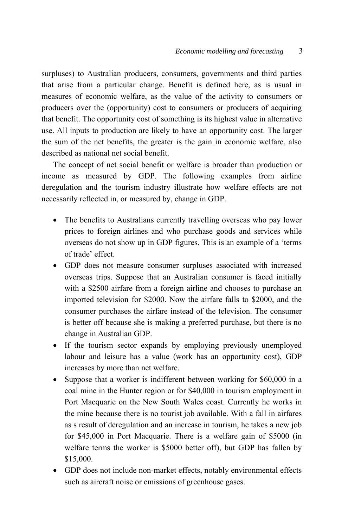surpluses) to Australian producers, consumers, governments and third parties that arise from a particular change. Benefit is defined here, as is usual in measures of economic welfare, as the value of the activity to consumers or producers over the (opportunity) cost to consumers or producers of acquiring that benefit. The opportunity cost of something is its highest value in alternative use. All inputs to production are likely to have an opportunity cost. The larger the sum of the net benefits, the greater is the gain in economic welfare, also described as national net social benefit.

The concept of net social benefit or welfare is broader than production or income as measured by GDP. The following examples from airline deregulation and the tourism industry illustrate how welfare effects are not necessarily reflected in, or measured by, change in GDP.

- The benefits to Australians currently travelling overseas who pay lower prices to foreign airlines and who purchase goods and services while overseas do not show up in GDP figures. This is an example of a 'terms of trade' effect.
- GDP does not measure consumer surpluses associated with increased overseas trips. Suppose that an Australian consumer is faced initially with a \$2500 airfare from a foreign airline and chooses to purchase an imported television for \$2000. Now the airfare falls to \$2000, and the consumer purchases the airfare instead of the television. The consumer is better off because she is making a preferred purchase, but there is no change in Australian GDP.
- If the tourism sector expands by employing previously unemployed labour and leisure has a value (work has an opportunity cost), GDP increases by more than net welfare.
- Suppose that a worker is indifferent between working for \$60,000 in a coal mine in the Hunter region or for \$40,000 in tourism employment in Port Macquarie on the New South Wales coast. Currently he works in the mine because there is no tourist job available. With a fall in airfares as s result of deregulation and an increase in tourism, he takes a new job for \$45,000 in Port Macquarie. There is a welfare gain of \$5000 (in welfare terms the worker is \$5000 better off), but GDP has fallen by \$15,000.
- GDP does not include non-market effects, notably environmental effects such as aircraft noise or emissions of greenhouse gases.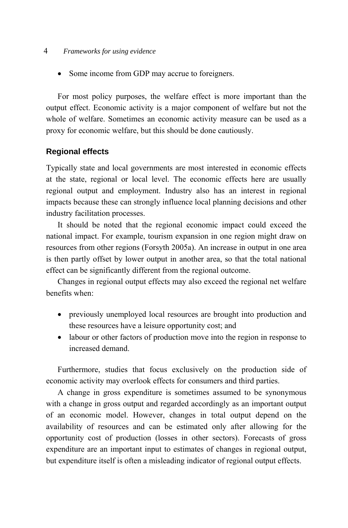#### 4 *Frameworks for using evidence*

• Some income from GDP may accrue to foreigners.

For most policy purposes, the welfare effect is more important than the output effect. Economic activity is a major component of welfare but not the whole of welfare. Sometimes an economic activity measure can be used as a proxy for economic welfare, but this should be done cautiously.

### **Regional effects**

Typically state and local governments are most interested in economic effects at the state, regional or local level. The economic effects here are usually regional output and employment. Industry also has an interest in regional impacts because these can strongly influence local planning decisions and other industry facilitation processes.

It should be noted that the regional economic impact could exceed the national impact. For example, tourism expansion in one region might draw on resources from other regions (Forsyth 2005a). An increase in output in one area is then partly offset by lower output in another area, so that the total national effect can be significantly different from the regional outcome.

Changes in regional output effects may also exceed the regional net welfare benefits when:

- previously unemployed local resources are brought into production and these resources have a leisure opportunity cost; and
- labour or other factors of production move into the region in response to increased demand.

Furthermore, studies that focus exclusively on the production side of economic activity may overlook effects for consumers and third parties.

A change in gross expenditure is sometimes assumed to be synonymous with a change in gross output and regarded accordingly as an important output of an economic model. However, changes in total output depend on the availability of resources and can be estimated only after allowing for the opportunity cost of production (losses in other sectors). Forecasts of gross expenditure are an important input to estimates of changes in regional output, but expenditure itself is often a misleading indicator of regional output effects.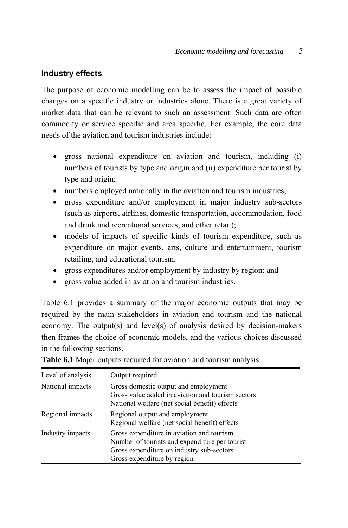### **Industry effects**

The purpose of economic modelling can be to assess the impact of possible changes on a specific industry or industries alone. There is a great variety of market data that can be relevant to such an assessment. Such data are often commodity or service specific and area specific. For example, the core data needs of the aviation and tourism industries include:

- gross national expenditure on aviation and tourism, including (i) numbers of tourists by type and origin and (ii) expenditure per tourist by type and origin;
- numbers employed nationally in the aviation and tourism industries;
- gross expenditure and/or employment in major industry sub-sectors (such as airports, airlines, domestic transportation, accommodation, food and drink and recreational services, and other retail);
- models of impacts of specific kinds of tourism expenditure, such as expenditure on major events, arts, culture and entertainment, tourism retailing, and educational tourism.
- gross expenditures and/or employment by industry by region; and
- gross value added in aviation and tourism industries.

Table 6.1 provides a summary of the major economic outputs that may be required by the main stakeholders in aviation and tourism and the national economy. The output(s) and level(s) of analysis desired by decision-makers then frames the choice of economic models, and the various choices discussed in the following sections.

| Level of analysis | Output required                                                                                                                                                         |  |
|-------------------|-------------------------------------------------------------------------------------------------------------------------------------------------------------------------|--|
| National impacts  | Gross domestic output and employment<br>Gross value added in aviation and tourism sectors<br>National welfare (net social benefit) effects                              |  |
| Regional impacts  | Regional output and employment<br>Regional welfare (net social benefit) effects                                                                                         |  |
| Industry impacts  | Gross expenditure in aviation and tourism<br>Number of tourists and expenditure per tourist<br>Gross expenditure on industry sub-sectors<br>Gross expenditure by region |  |

| Table 6.1 Major outputs required for aviation and tourism analysis |  |
|--------------------------------------------------------------------|--|
|--------------------------------------------------------------------|--|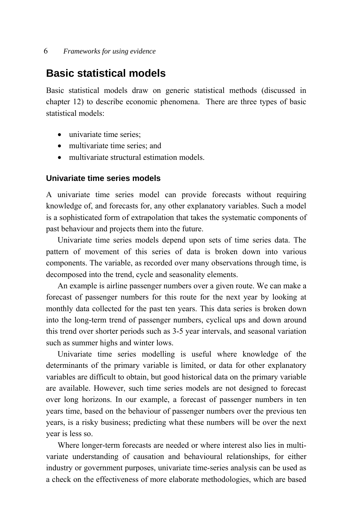6 *Frameworks for using evidence* 

# **Basic statistical models**

Basic statistical models draw on generic statistical methods (discussed in chapter 12) to describe economic phenomena. There are three types of basic statistical models:

- univariate time series:
- multivariate time series; and
- multivariate structural estimation models.

### **Univariate time series models**

A univariate time series model can provide forecasts without requiring knowledge of, and forecasts for, any other explanatory variables. Such a model is a sophisticated form of extrapolation that takes the systematic components of past behaviour and projects them into the future.

Univariate time series models depend upon sets of time series data. The pattern of movement of this series of data is broken down into various components. The variable, as recorded over many observations through time, is decomposed into the trend, cycle and seasonality elements.

An example is airline passenger numbers over a given route. We can make a forecast of passenger numbers for this route for the next year by looking at monthly data collected for the past ten years. This data series is broken down into the long-term trend of passenger numbers, cyclical ups and down around this trend over shorter periods such as 3-5 year intervals, and seasonal variation such as summer highs and winter lows.

Univariate time series modelling is useful where knowledge of the determinants of the primary variable is limited, or data for other explanatory variables are difficult to obtain, but good historical data on the primary variable are available. However, such time series models are not designed to forecast over long horizons. In our example, a forecast of passenger numbers in ten years time, based on the behaviour of passenger numbers over the previous ten years, is a risky business; predicting what these numbers will be over the next year is less so.

Where longer-term forecasts are needed or where interest also lies in multivariate understanding of causation and behavioural relationships, for either industry or government purposes, univariate time-series analysis can be used as a check on the effectiveness of more elaborate methodologies, which are based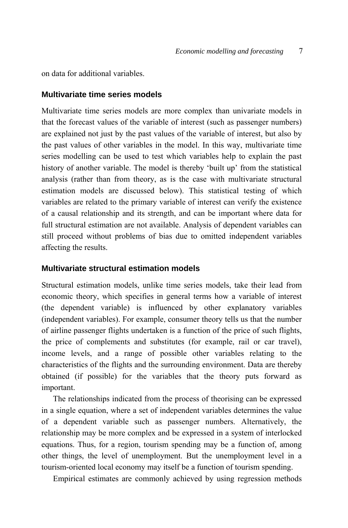on data for additional variables.

#### **Multivariate time series models**

Multivariate time series models are more complex than univariate models in that the forecast values of the variable of interest (such as passenger numbers) are explained not just by the past values of the variable of interest, but also by the past values of other variables in the model. In this way, multivariate time series modelling can be used to test which variables help to explain the past history of another variable. The model is thereby 'built up' from the statistical analysis (rather than from theory, as is the case with multivariate structural estimation models are discussed below). This statistical testing of which variables are related to the primary variable of interest can verify the existence of a causal relationship and its strength, and can be important where data for full structural estimation are not available. Analysis of dependent variables can still proceed without problems of bias due to omitted independent variables affecting the results.

### **Multivariate structural estimation models**

Structural estimation models, unlike time series models, take their lead from economic theory, which specifies in general terms how a variable of interest (the dependent variable) is influenced by other explanatory variables (independent variables). For example, consumer theory tells us that the number of airline passenger flights undertaken is a function of the price of such flights, the price of complements and substitutes (for example, rail or car travel), income levels, and a range of possible other variables relating to the characteristics of the flights and the surrounding environment. Data are thereby obtained (if possible) for the variables that the theory puts forward as important.

The relationships indicated from the process of theorising can be expressed in a single equation, where a set of independent variables determines the value of a dependent variable such as passenger numbers. Alternatively, the relationship may be more complex and be expressed in a system of interlocked equations. Thus, for a region, tourism spending may be a function of, among other things, the level of unemployment. But the unemployment level in a tourism-oriented local economy may itself be a function of tourism spending.

Empirical estimates are commonly achieved by using regression methods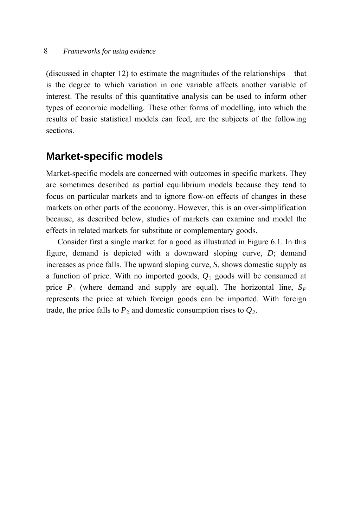(discussed in chapter 12) to estimate the magnitudes of the relationships – that is the degree to which variation in one variable affects another variable of interest. The results of this quantitative analysis can be used to inform other types of economic modelling. These other forms of modelling, into which the results of basic statistical models can feed, are the subjects of the following sections.

### **Market-specific models**

Market-specific models are concerned with outcomes in specific markets. They are sometimes described as partial equilibrium models because they tend to focus on particular markets and to ignore flow-on effects of changes in these markets on other parts of the economy. However, this is an over-simplification because, as described below, studies of markets can examine and model the effects in related markets for substitute or complementary goods.

Consider first a single market for a good as illustrated in Figure 6.1. In this figure, demand is depicted with a downward sloping curve, *D*; demand increases as price falls. The upward sloping curve, *S*, shows domestic supply as a function of price. With no imported goods, *Q*1 goods will be consumed at price  $P_1$  (where demand and supply are equal). The horizontal line,  $S_F$ represents the price at which foreign goods can be imported. With foreign trade, the price falls to  $P_2$  and domestic consumption rises to  $Q_2$ .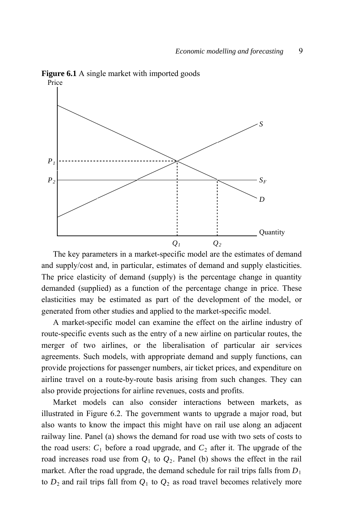**Figure 6.1** A single market with imported goods



The key parameters in a market-specific model are the estimates of demand and supply/cost and, in particular, estimates of demand and supply elasticities. The price elasticity of demand (supply) is the percentage change in quantity demanded (supplied) as a function of the percentage change in price. These elasticities may be estimated as part of the development of the model, or generated from other studies and applied to the market-specific model.

A market-specific model can examine the effect on the airline industry of route-specific events such as the entry of a new airline on particular routes, the merger of two airlines, or the liberalisation of particular air services agreements. Such models, with appropriate demand and supply functions, can provide projections for passenger numbers, air ticket prices, and expenditure on airline travel on a route-by-route basis arising from such changes. They can also provide projections for airline revenues, costs and profits.

Market models can also consider interactions between markets, as illustrated in Figure 6.2. The government wants to upgrade a major road, but also wants to know the impact this might have on rail use along an adjacent railway line. Panel (a) shows the demand for road use with two sets of costs to the road users:  $C_1$  before a road upgrade, and  $C_2$  after it. The upgrade of the road increases road use from  $Q_1$  to  $Q_2$ . Panel (b) shows the effect in the rail market. After the road upgrade, the demand schedule for rail trips falls from  $D_1$ to  $D_2$  and rail trips fall from  $Q_1$  to  $Q_2$  as road travel becomes relatively more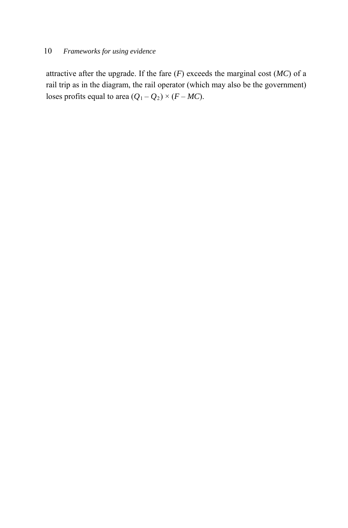attractive after the upgrade. If the fare  $(F)$  exceeds the marginal cost  $(MC)$  of a rail trip as in the diagram, the rail operator (which may also be the government) loses profits equal to area  $(Q_1 - Q_2) \times (F - MC)$ .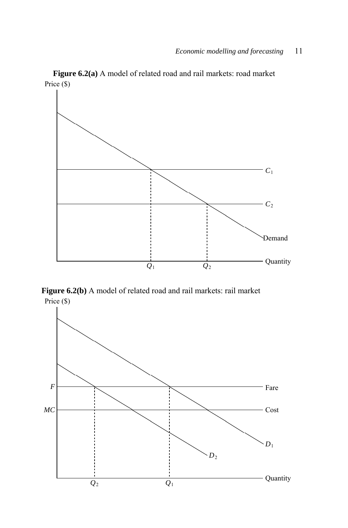*C*1 *C*2 Demand  $Q_1$   $Q_2$ Quantity

**Figure 6.2(a)** A model of related road and rail markets: road market Price (\$)

**Figure 6.2(b)** A model of related road and rail markets: rail market Price (\$)

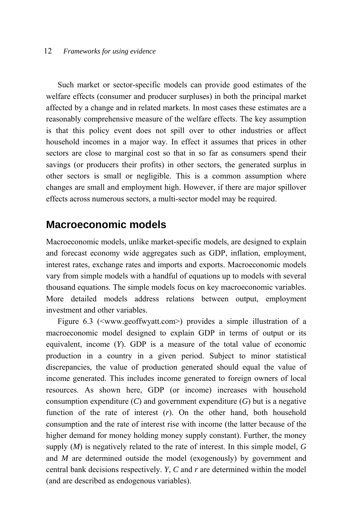#### 12 *Frameworks for using evidence*

Such market or sector-specific models can provide good estimates of the welfare effects (consumer and producer surpluses) in both the principal market affected by a change and in related markets. In most cases these estimates are a reasonably comprehensive measure of the welfare effects. The key assumption is that this policy event does not spill over to other industries or affect household incomes in a major way. In effect it assumes that prices in other sectors are close to marginal cost so that in so far as consumers spend their savings (or producers their profits) in other sectors, the generated surplus in other sectors is small or negligible. This is a common assumption where changes are small and employment high. However, if there are major spillover effects across numerous sectors, a multi-sector model may be required.

### **Macroeconomic models**

Macroeconomic models, unlike market-specific models, are designed to explain and forecast economy wide aggregates such as GDP, inflation, employment, interest rates, exchange rates and imports and exports. Macroeconomic models vary from simple models with a handful of equations up to models with several thousand equations. The simple models focus on key macroeconomic variables. More detailed models address relations between output, employment investment and other variables.

Figure 6.3 (<www.geoffwyatt.com>) provides a simple illustration of a macroeconomic model designed to explain GDP in terms of output or its equivalent, income (*Y*). GDP is a measure of the total value of economic production in a country in a given period. Subject to minor statistical discrepancies, the value of production generated should equal the value of income generated. This includes income generated to foreign owners of local resources. As shown here, GDP (or income) increases with household consumption expenditure  $(C)$  and government expenditure  $(G)$  but is a negative function of the rate of interest (*r*). On the other hand, both household consumption and the rate of interest rise with income (the latter because of the higher demand for money holding money supply constant). Further, the money supply (*M*) is negatively related to the rate of interest. In this simple model, *G* and *M* are determined outside the model (exogenously) by government and central bank decisions respectively. *Y*, *C* and *r* are determined within the model (and are described as endogenous variables).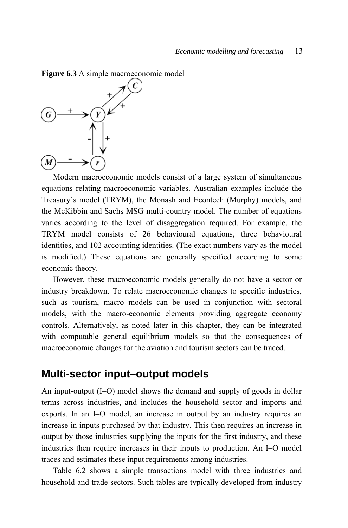**Figure 6.3** A simple macroeconomic model



Modern macroeconomic models consist of a large system of simultaneous equations relating macroeconomic variables. Australian examples include the Treasury's model (TRYM), the Monash and Econtech (Murphy) models, and the McKibbin and Sachs MSG multi-country model. The number of equations varies according to the level of disaggregation required. For example, the TRYM model consists of 26 behavioural equations, three behavioural identities, and 102 accounting identities. (The exact numbers vary as the model is modified.) These equations are generally specified according to some economic theory.

However, these macroeconomic models generally do not have a sector or industry breakdown. To relate macroeconomic changes to specific industries, such as tourism, macro models can be used in conjunction with sectoral models, with the macro-economic elements providing aggregate economy controls. Alternatively, as noted later in this chapter, they can be integrated with computable general equilibrium models so that the consequences of macroeconomic changes for the aviation and tourism sectors can be traced.

### **Multi-sector input–output models**

An input-output (I–O) model shows the demand and supply of goods in dollar terms across industries, and includes the household sector and imports and exports. In an I–O model, an increase in output by an industry requires an increase in inputs purchased by that industry. This then requires an increase in output by those industries supplying the inputs for the first industry, and these industries then require increases in their inputs to production. An I–O model traces and estimates these input requirements among industries.

Table 6.2 shows a simple transactions model with three industries and household and trade sectors. Such tables are typically developed from industry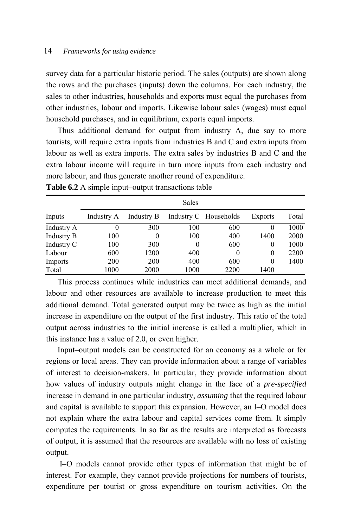survey data for a particular historic period. The sales (outputs) are shown along the rows and the purchases (inputs) down the columns. For each industry, the sales to other industries, households and exports must equal the purchases from other industries, labour and imports. Likewise labour sales (wages) must equal household purchases, and in equilibrium, exports equal imports.

Thus additional demand for output from industry A, due say to more tourists, will require extra inputs from industries B and C and extra inputs from labour as well as extra imports. The extra sales by industries B and C and the extra labour income will require in turn more inputs from each industry and more labour, and thus generate another round of expenditure.

|                   | Sales      |            |      |                       |          |       |
|-------------------|------------|------------|------|-----------------------|----------|-------|
| Inputs            | Industry A | Industry B |      | Industry C Households | Exports  | Total |
| Industry A        | $\theta$   | 300        | 100  | 600                   | $\theta$ | 1000  |
| <b>Industry B</b> | 100        | $\theta$   | 100  | 400                   | 1400     | 2000  |
| Industry C        | 100        | 300        | 0    | 600                   | 0        | 1000  |
| Labour            | 600        | 1200       | 400  | $\theta$              | 0        | 2200  |
| Imports           | <b>200</b> | 200        | 400  | 600                   | $\theta$ | 1400  |
| Total             | 1000       | 2000       | 1000 | 2200                  | 1400     |       |

**Table 6.2** A simple input–output transactions table

This process continues while industries can meet additional demands, and labour and other resources are available to increase production to meet this additional demand. Total generated output may be twice as high as the initial increase in expenditure on the output of the first industry. This ratio of the total output across industries to the initial increase is called a multiplier, which in this instance has a value of 2.0, or even higher.

Input–output models can be constructed for an economy as a whole or for regions or local areas. They can provide information about a range of variables of interest to decision-makers. In particular, they provide information about how values of industry outputs might change in the face of a *pre-specified* increase in demand in one particular industry, *assuming* that the required labour and capital is available to support this expansion. However, an I–O model does not explain where the extra labour and capital services come from. It simply computes the requirements. In so far as the results are interpreted as forecasts of output, it is assumed that the resources are available with no loss of existing output.

 I–O models cannot provide other types of information that might be of interest. For example, they cannot provide projections for numbers of tourists, expenditure per tourist or gross expenditure on tourism activities. On the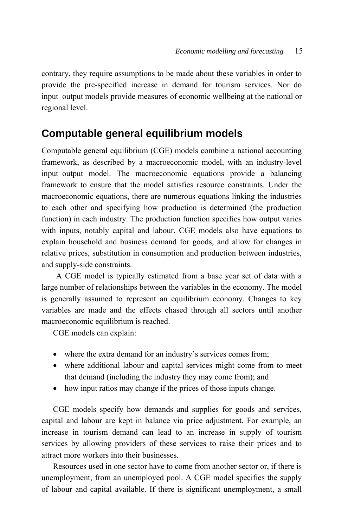contrary, they require assumptions to be made about these variables in order to provide the pre-specified increase in demand for tourism services. Nor do input–output models provide measures of economic wellbeing at the national or regional level.

# **Computable general equilibrium models**

Computable general equilibrium (CGE) models combine a national accounting framework, as described by a macroeconomic model, with an industry-level input–output model. The macroeconomic equations provide a balancing framework to ensure that the model satisfies resource constraints. Under the macroeconomic equations, there are numerous equations linking the industries to each other and specifying how production is determined (the production function) in each industry. The production function specifies how output varies with inputs, notably capital and labour. CGE models also have equations to explain household and business demand for goods, and allow for changes in relative prices, substitution in consumption and production between industries, and supply-side constraints.

A CGE model is typically estimated from a base year set of data with a large number of relationships between the variables in the economy. The model is generally assumed to represent an equilibrium economy. Changes to key variables are made and the effects chased through all sectors until another macroeconomic equilibrium is reached.

CGE models can explain:

- where the extra demand for an industry's services comes from;
- where additional labour and capital services might come from to meet that demand (including the industry they may come from); and
- how input ratios may change if the prices of those inputs change.

CGE models specify how demands and supplies for goods and services, capital and labour are kept in balance via price adjustment. For example, an increase in tourism demand can lead to an increase in supply of tourism services by allowing providers of these services to raise their prices and to attract more workers into their businesses.

Resources used in one sector have to come from another sector or, if there is unemployment, from an unemployed pool. A CGE model specifies the supply of labour and capital available. If there is significant unemployment, a small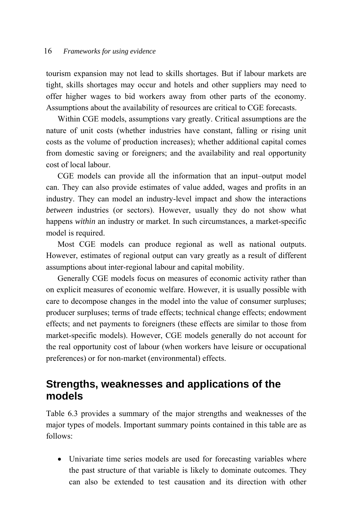tourism expansion may not lead to skills shortages. But if labour markets are tight, skills shortages may occur and hotels and other suppliers may need to offer higher wages to bid workers away from other parts of the economy. Assumptions about the availability of resources are critical to CGE forecasts.

Within CGE models, assumptions vary greatly. Critical assumptions are the nature of unit costs (whether industries have constant, falling or rising unit costs as the volume of production increases); whether additional capital comes from domestic saving or foreigners; and the availability and real opportunity cost of local labour.

CGE models can provide all the information that an input–output model can. They can also provide estimates of value added, wages and profits in an industry. They can model an industry-level impact and show the interactions *between* industries (or sectors). However, usually they do not show what happens *within* an industry or market. In such circumstances, a market-specific model is required.

Most CGE models can produce regional as well as national outputs. However, estimates of regional output can vary greatly as a result of different assumptions about inter-regional labour and capital mobility.

Generally CGE models focus on measures of economic activity rather than on explicit measures of economic welfare. However, it is usually possible with care to decompose changes in the model into the value of consumer surpluses; producer surpluses; terms of trade effects; technical change effects; endowment effects; and net payments to foreigners (these effects are similar to those from market-specific models). However, CGE models generally do not account for the real opportunity cost of labour (when workers have leisure or occupational preferences) or for non-market (environmental) effects.

# **Strengths, weaknesses and applications of the models**

Table 6.3 provides a summary of the major strengths and weaknesses of the major types of models. Important summary points contained in this table are as follows:

 Univariate time series models are used for forecasting variables where the past structure of that variable is likely to dominate outcomes. They can also be extended to test causation and its direction with other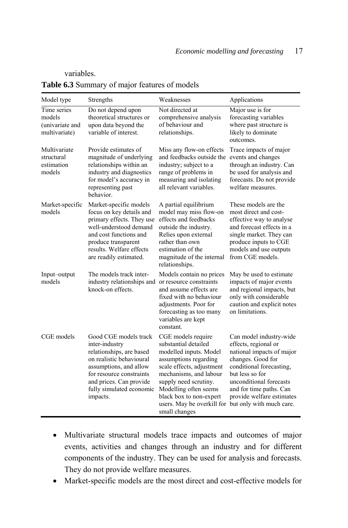#### variables.

|  |  | Table 6.3 Summary of major features of models |  |
|--|--|-----------------------------------------------|--|
|  |  |                                               |  |

| Model type                                                | Strengths                                                                                                                                                                                                                | Weaknesses                                                                                                                                                                                                                                                                       | Applications                                                                                                                                                                                                                                                    |
|-----------------------------------------------------------|--------------------------------------------------------------------------------------------------------------------------------------------------------------------------------------------------------------------------|----------------------------------------------------------------------------------------------------------------------------------------------------------------------------------------------------------------------------------------------------------------------------------|-----------------------------------------------------------------------------------------------------------------------------------------------------------------------------------------------------------------------------------------------------------------|
| Time series<br>models<br>(univariate and<br>multivariate) | Do not depend upon<br>theoretical structures or<br>upon data beyond the<br>variable of interest.                                                                                                                         | Not directed at<br>comprehensive analysis<br>of behaviour and<br>relationships.                                                                                                                                                                                                  | Major use is for<br>forecasting variables<br>where past structure is<br>likely to dominate<br>outcomes.                                                                                                                                                         |
| Multivariate<br>structural<br>estimation<br>models        | Provide estimates of<br>magnitude of underlying<br>relationships within an<br>industry and diagnostics<br>for model's accuracy in<br>representing past<br>behavior.                                                      | Miss any flow-on effects<br>and feedbacks outside the<br>industry; subject to a<br>range of problems in<br>measuring and isolating<br>all relevant variables.                                                                                                                    | Trace impacts of major<br>events and changes<br>through an industry. Can<br>be used for analysis and<br>forecasts. Do not provide<br>welfare measures.                                                                                                          |
| Market-specific<br>models                                 | Market-specific models<br>focus on key details and<br>primary effects. They use<br>well-understood demand<br>and cost functions and<br>produce transparent<br>results. Welfare effects<br>are readily estimated.         | A partial equilibrium<br>model may miss flow-on<br>effects and feedbacks<br>outside the industry.<br>Relies upon external<br>rather than own<br>estimation of the<br>magnitude of the internal<br>relationships.                                                                 | These models are the<br>most direct and cost-<br>effective way to analyse<br>and forecast effects in a<br>single market. They can<br>produce inputs to CGE<br>models and use outputs<br>from CGE models.                                                        |
| Input-output<br>models                                    | The models track inter-<br>industry relationships and or resource constraints<br>knock-on effects.                                                                                                                       | Models contain no prices<br>and assume effects are<br>fixed with no behaviour<br>adjustments. Poor for<br>forecasting as too many<br>variables are kept<br>constant.                                                                                                             | May be used to estimate<br>impacts of major events<br>and regional impacts, but<br>only with considerable<br>caution and explicit notes<br>on limitations.                                                                                                      |
| CGE models                                                | Good CGE models track<br>inter-industry<br>relationships, are based<br>on realistic behavioural<br>assumptions, and allow<br>for resource constraints<br>and prices. Can provide<br>fully simulated economic<br>impacts. | CGE models require<br>substantial detailed<br>modelled inputs. Model<br>assumptions regarding<br>scale effects, adjustment<br>mechanisms, and labour<br>supply need scrutiny.<br>Modelling often seems<br>black box to non-expert<br>users. May be overkill for<br>small changes | Can model industry-wide<br>effects, regional or<br>national impacts of major<br>changes. Good for<br>conditional forecasting,<br>but less so for<br>unconditional forecasts<br>and for time paths. Can<br>provide welfare estimates<br>but only with much care. |

- Multivariate structural models trace impacts and outcomes of major events, activities and changes through an industry and for different components of the industry. They can be used for analysis and forecasts. They do not provide welfare measures.
- Market-specific models are the most direct and cost-effective models for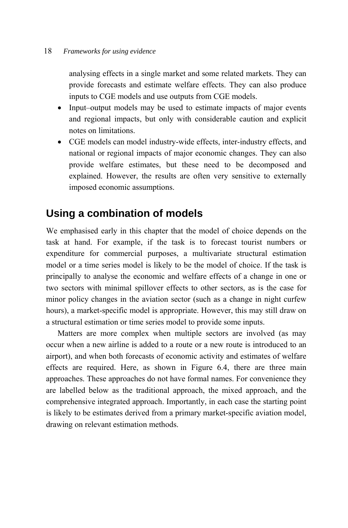analysing effects in a single market and some related markets. They can provide forecasts and estimate welfare effects. They can also produce inputs to CGE models and use outputs from CGE models.

- Input–output models may be used to estimate impacts of major events and regional impacts, but only with considerable caution and explicit notes on limitations.
- CGE models can model industry-wide effects, inter-industry effects, and national or regional impacts of major economic changes. They can also provide welfare estimates, but these need to be decomposed and explained. However, the results are often very sensitive to externally imposed economic assumptions.

# **Using a combination of models**

We emphasised early in this chapter that the model of choice depends on the task at hand. For example, if the task is to forecast tourist numbers or expenditure for commercial purposes, a multivariate structural estimation model or a time series model is likely to be the model of choice. If the task is principally to analyse the economic and welfare effects of a change in one or two sectors with minimal spillover effects to other sectors, as is the case for minor policy changes in the aviation sector (such as a change in night curfew hours), a market-specific model is appropriate. However, this may still draw on a structural estimation or time series model to provide some inputs.

Matters are more complex when multiple sectors are involved (as may occur when a new airline is added to a route or a new route is introduced to an airport), and when both forecasts of economic activity and estimates of welfare effects are required. Here, as shown in Figure 6.4, there are three main approaches. These approaches do not have formal names. For convenience they are labelled below as the traditional approach, the mixed approach, and the comprehensive integrated approach. Importantly, in each case the starting point is likely to be estimates derived from a primary market-specific aviation model, drawing on relevant estimation methods.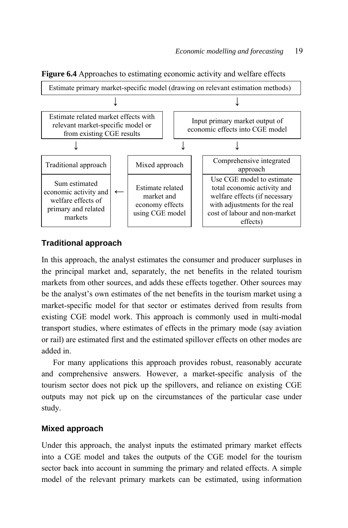

**Figure 6.4** Approaches to estimating economic activity and welfare effects

### **Traditional approach**

In this approach, the analyst estimates the consumer and producer surpluses in the principal market and, separately, the net benefits in the related tourism markets from other sources, and adds these effects together. Other sources may be the analyst's own estimates of the net benefits in the tourism market using a market-specific model for that sector or estimates derived from results from existing CGE model work. This approach is commonly used in multi-modal transport studies, where estimates of effects in the primary mode (say aviation or rail) are estimated first and the estimated spillover effects on other modes are added in.

For many applications this approach provides robust, reasonably accurate and comprehensive answers. However, a market-specific analysis of the tourism sector does not pick up the spillovers, and reliance on existing CGE outputs may not pick up on the circumstances of the particular case under study.

### **Mixed approach**

Under this approach, the analyst inputs the estimated primary market effects into a CGE model and takes the outputs of the CGE model for the tourism sector back into account in summing the primary and related effects. A simple model of the relevant primary markets can be estimated, using information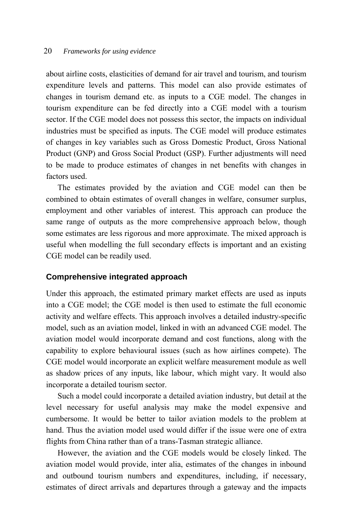about airline costs, elasticities of demand for air travel and tourism, and tourism expenditure levels and patterns. This model can also provide estimates of changes in tourism demand etc. as inputs to a CGE model. The changes in tourism expenditure can be fed directly into a CGE model with a tourism sector. If the CGE model does not possess this sector, the impacts on individual industries must be specified as inputs. The CGE model will produce estimates of changes in key variables such as Gross Domestic Product, Gross National Product (GNP) and Gross Social Product (GSP). Further adjustments will need to be made to produce estimates of changes in net benefits with changes in factors used.

The estimates provided by the aviation and CGE model can then be combined to obtain estimates of overall changes in welfare, consumer surplus, employment and other variables of interest. This approach can produce the same range of outputs as the more comprehensive approach below, though some estimates are less rigorous and more approximate. The mixed approach is useful when modelling the full secondary effects is important and an existing CGE model can be readily used.

#### **Comprehensive integrated approach**

Under this approach, the estimated primary market effects are used as inputs into a CGE model; the CGE model is then used to estimate the full economic activity and welfare effects. This approach involves a detailed industry-specific model, such as an aviation model, linked in with an advanced CGE model. The aviation model would incorporate demand and cost functions, along with the capability to explore behavioural issues (such as how airlines compete). The CGE model would incorporate an explicit welfare measurement module as well as shadow prices of any inputs, like labour, which might vary. It would also incorporate a detailed tourism sector.

Such a model could incorporate a detailed aviation industry, but detail at the level necessary for useful analysis may make the model expensive and cumbersome. It would be better to tailor aviation models to the problem at hand. Thus the aviation model used would differ if the issue were one of extra flights from China rather than of a trans-Tasman strategic alliance.

However, the aviation and the CGE models would be closely linked. The aviation model would provide, inter alia, estimates of the changes in inbound and outbound tourism numbers and expenditures, including, if necessary, estimates of direct arrivals and departures through a gateway and the impacts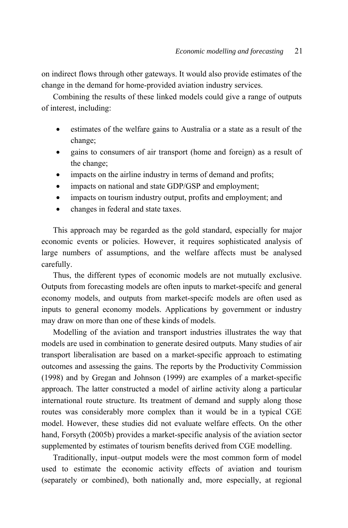on indirect flows through other gateways. It would also provide estimates of the change in the demand for home-provided aviation industry services.

Combining the results of these linked models could give a range of outputs of interest, including:

- estimates of the welfare gains to Australia or a state as a result of the change;
- gains to consumers of air transport (home and foreign) as a result of the change;
- impacts on the airline industry in terms of demand and profits;
- impacts on national and state GDP/GSP and employment;
- impacts on tourism industry output, profits and employment; and
- changes in federal and state taxes.

This approach may be regarded as the gold standard, especially for major economic events or policies. However, it requires sophisticated analysis of large numbers of assumptions, and the welfare affects must be analysed carefully.

Thus, the different types of economic models are not mutually exclusive. Outputs from forecasting models are often inputs to market-specifc and general economy models, and outputs from market-specifc models are often used as inputs to general economy models. Applications by government or industry may draw on more than one of these kinds of models.

Modelling of the aviation and transport industries illustrates the way that models are used in combination to generate desired outputs. Many studies of air transport liberalisation are based on a market-specific approach to estimating outcomes and assessing the gains. The reports by the Productivity Commission (1998) and by Gregan and Johnson (1999) are examples of a market-specific approach. The latter constructed a model of airline activity along a particular international route structure. Its treatment of demand and supply along those routes was considerably more complex than it would be in a typical CGE model. However, these studies did not evaluate welfare effects. On the other hand, Forsyth (2005b) provides a market-specific analysis of the aviation sector supplemented by estimates of tourism benefits derived from CGE modelling.

Traditionally, input–output models were the most common form of model used to estimate the economic activity effects of aviation and tourism (separately or combined), both nationally and, more especially, at regional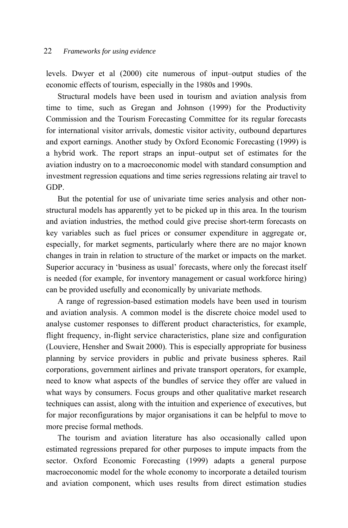levels. Dwyer et al (2000) cite numerous of input–output studies of the economic effects of tourism, especially in the 1980s and 1990s.

Structural models have been used in tourism and aviation analysis from time to time, such as Gregan and Johnson (1999) for the Productivity Commission and the Tourism Forecasting Committee for its regular forecasts for international visitor arrivals, domestic visitor activity, outbound departures and export earnings. Another study by Oxford Economic Forecasting (1999) is a hybrid work. The report straps an input–output set of estimates for the aviation industry on to a macroeconomic model with standard consumption and investment regression equations and time series regressions relating air travel to GDP.

But the potential for use of univariate time series analysis and other nonstructural models has apparently yet to be picked up in this area. In the tourism and aviation industries, the method could give precise short-term forecasts on key variables such as fuel prices or consumer expenditure in aggregate or, especially, for market segments, particularly where there are no major known changes in train in relation to structure of the market or impacts on the market. Superior accuracy in 'business as usual' forecasts, where only the forecast itself is needed (for example, for inventory management or casual workforce hiring) can be provided usefully and economically by univariate methods.

A range of regression-based estimation models have been used in tourism and aviation analysis. A common model is the discrete choice model used to analyse customer responses to different product characteristics, for example, flight frequency, in-flight service characteristics, plane size and configuration (Louviere, Hensher and Swait 2000). This is especially appropriate for business planning by service providers in public and private business spheres. Rail corporations, government airlines and private transport operators, for example, need to know what aspects of the bundles of service they offer are valued in what ways by consumers. Focus groups and other qualitative market research techniques can assist, along with the intuition and experience of executives, but for major reconfigurations by major organisations it can be helpful to move to more precise formal methods.

The tourism and aviation literature has also occasionally called upon estimated regressions prepared for other purposes to impute impacts from the sector. Oxford Economic Forecasting (1999) adapts a general purpose macroeconomic model for the whole economy to incorporate a detailed tourism and aviation component, which uses results from direct estimation studies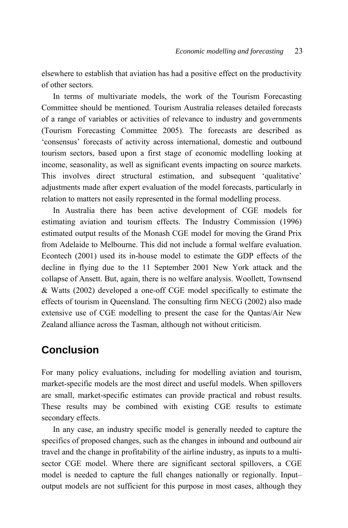elsewhere to establish that aviation has had a positive effect on the productivity of other sectors.

In terms of multivariate models, the work of the Tourism Forecasting Committee should be mentioned. Tourism Australia releases detailed forecasts of a range of variables or activities of relevance to industry and governments (Tourism Forecasting Committee 2005). The forecasts are described as 'consensus' forecasts of activity across international, domestic and outbound tourism sectors, based upon a first stage of economic modelling looking at income, seasonality, as well as significant events impacting on source markets. This involves direct structural estimation, and subsequent 'qualitative' adjustments made after expert evaluation of the model forecasts, particularly in relation to matters not easily represented in the formal modelling process.

In Australia there has been active development of CGE models for estimating aviation and tourism effects. The Industry Commission (1996) estimated output results of the Monash CGE model for moving the Grand Prix from Adelaide to Melbourne. This did not include a formal welfare evaluation. Econtech (2001) used its in-house model to estimate the GDP effects of the decline in flying due to the 11 September 2001 New York attack and the collapse of Ansett. But, again, there is no welfare analysis. Woollett, Townsend & Watts (2002) developed a one-off CGE model specifically to estimate the effects of tourism in Queensland. The consulting firm NECG (2002) also made extensive use of CGE modelling to present the case for the Qantas/Air New Zealand alliance across the Tasman, although not without criticism.

# **Conclusion**

For many policy evaluations, including for modelling aviation and tourism, market-specific models are the most direct and useful models. When spillovers are small, market-specific estimates can provide practical and robust results. These results may be combined with existing CGE results to estimate secondary effects.

In any case, an industry specific model is generally needed to capture the specifics of proposed changes, such as the changes in inbound and outbound air travel and the change in profitability of the airline industry, as inputs to a multisector CGE model. Where there are significant sectoral spillovers, a CGE model is needed to capture the full changes nationally or regionally. Input– output models are not sufficient for this purpose in most cases, although they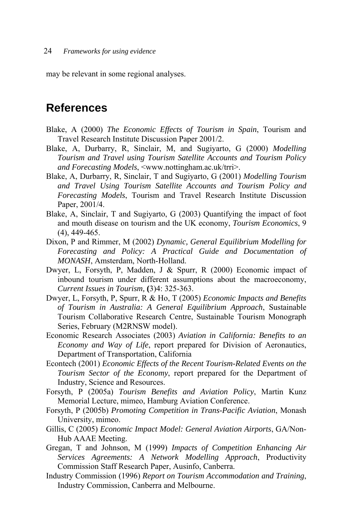may be relevant in some regional analyses.

# **References**

- Blake, A (2000) *The Economic Effects of Tourism in Spain*, Tourism and Travel Research Institute Discussion Paper 2001/2.
- Blake, A, Durbarry, R, Sinclair, M, and Sugiyarto, G (2000) *Modelling Tourism and Travel using Tourism Satellite Accounts and Tourism Policy and Forecasting Models*, <www.nottingham.ac.uk/trri>.
- Blake, A, Durbarry, R, Sinclair, T and Sugiyarto, G (2001) *Modelling Tourism and Travel Using Tourism Satellite Accounts and Tourism Policy and Forecasting Models*, Tourism and Travel Research Institute Discussion Paper, 2001/4.
- Blake, A, Sinclair, T and Sugiyarto, G (2003) Quantifying the impact of foot and mouth disease on tourism and the UK economy, *Tourism Economics*, 9 (4), 449-465.
- Dixon, P and Rimmer, M (2002) *Dynamic, General Equilibrium Modelling for Forecasting and Policy: A Practical Guide and Documentation of MONASH*, Amsterdam, North-Holland.
- Dwyer, L, Forsyth, P, Madden, J & Spurr, R (2000) Economic impact of inbound tourism under different assumptions about the macroeconomy, *Current Issues in Tourism,* **(**3)4: 325-363.
- Dwyer, L, Forsyth, P, Spurr, R & Ho, T (2005) *Economic Impacts and Benefits of Tourism in Australia: A General Equilibrium Approach*, Sustainable Tourism Collaborative Research Centre, Sustainable Tourism Monograph Series, February (M2RNSW model).
- Economic Research Associates (2003) *Aviation in California: Benefits to an Economy and Way of Life*, report prepared for Division of Aeronautics, Department of Transportation, California
- Econtech (2001) *Economic Effects of the Recent Tourism-Related Events on the Tourism Sector of the Economy*, report prepared for the Department of Industry, Science and Resources.
- Forsyth, P (2005a) *Tourism Benefits and Aviation Policy*, Martin Kunz Memorial Lecture, mimeo, Hamburg Aviation Conference.
- Forsyth, P (2005b) *Promoting Competition in Trans-Pacific Aviation*, Monash University, mimeo.
- Gillis, C (2005) *Economic Impact Model: General Aviation Airports*, GA/Non-Hub AAAE Meeting.
- Gregan, T and Johnson, M (1999) *Impacts of Competition Enhancing Air Services Agreements: A Network Modelling Approach*, Productivity Commission Staff Research Paper, Ausinfo, Canberra.
- Industry Commission (1996) *Report on Tourism Accommodation and Training*, Industry Commission, Canberra and Melbourne.